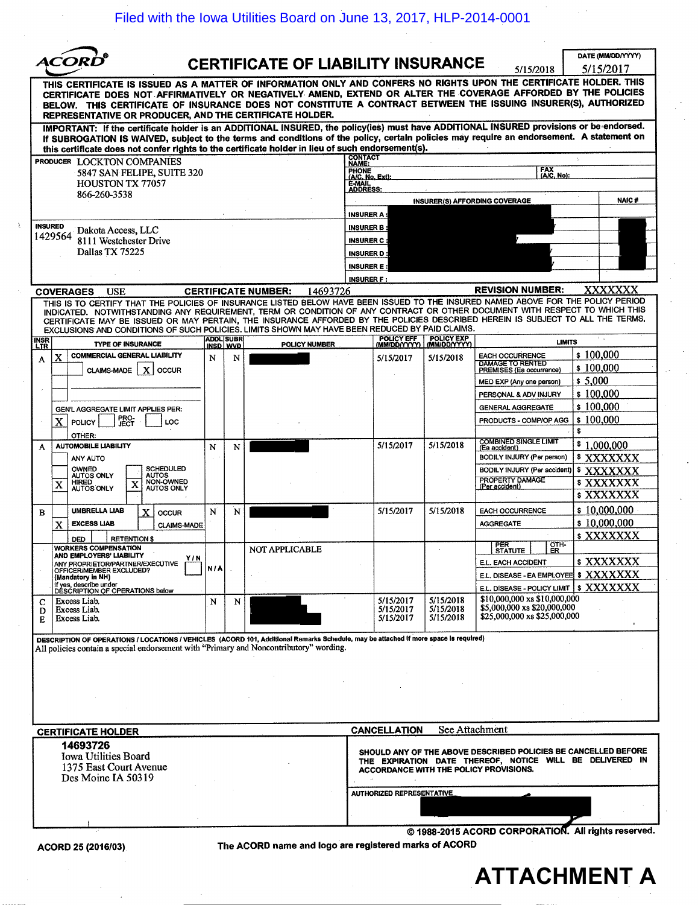Filed with the Iowa Utilities Board on June 13, 2017, HLP-2014-0001

|                                                                                                                                                                                                                                                                                                                                                                                                                                                                                                    |     |                              |                                                       |                                                                                                 |                                     |                                                                                                                                                                      | DATE (MM/DD/YYYY)      |
|----------------------------------------------------------------------------------------------------------------------------------------------------------------------------------------------------------------------------------------------------------------------------------------------------------------------------------------------------------------------------------------------------------------------------------------------------------------------------------------------------|-----|------------------------------|-------------------------------------------------------|-------------------------------------------------------------------------------------------------|-------------------------------------|----------------------------------------------------------------------------------------------------------------------------------------------------------------------|------------------------|
| ACORI                                                                                                                                                                                                                                                                                                                                                                                                                                                                                              |     |                              | <b>CERTIFICATE OF LIABILITY INSURANCE</b>             |                                                                                                 |                                     | 5/15/2018                                                                                                                                                            | 5/15/2017              |
| THIS CERTIFICATE IS ISSUED AS A MATTER OF INFORMATION ONLY AND CONFERS NO RIGHTS UPON THE CERTIFICATE HOLDER. THIS<br>CERTIFICATE DOES NOT AFFIRMATIVELY OR NEGATIVELY AMEND, EXTEND OR ALTER THE COVERAGE AFFORDED BY THE POLICIES<br>BELOW. THIS CERTIFICATE OF INSURANCE DOES NOT CONSTITUTE A CONTRACT BETWEEN THE ISSUING INSURER(S), AUTHORIZED<br>REPRESENTATIVE OR PRODUCER, AND THE CERTIFICATE HOLDER.                                                                                   |     |                              |                                                       |                                                                                                 |                                     |                                                                                                                                                                      |                        |
| IMPORTANT: If the certificate holder is an ADDITIONAL INSURED, the policy(ies) must have ADDITIONAL INSURED provisions or be endorsed.<br>If SUBROGATION IS WAIVED, subject to the terms and conditions of the policy, certain policies may require an endorsement. A statement on<br>this certificate does not confer rights to the certificate holder in lieu of such endorsement(s).                                                                                                            |     |                              |                                                       |                                                                                                 |                                     |                                                                                                                                                                      |                        |
| PRODUCER LOCKTON COMPANIES                                                                                                                                                                                                                                                                                                                                                                                                                                                                         |     |                              |                                                       | <b>CONTACT</b><br>NAME:                                                                         |                                     |                                                                                                                                                                      |                        |
| 5847 SAN FELIPE, SUITE 320<br><b>HOUSTON TX 77057</b>                                                                                                                                                                                                                                                                                                                                                                                                                                              |     |                              |                                                       | <b>FAX</b><br><b>PHONE</b><br>(A/C, No):<br>(A/C, No, Ext):<br><b>E-MAIL</b><br><b>ADDRESS:</b> |                                     |                                                                                                                                                                      |                        |
| 866-260-3538                                                                                                                                                                                                                                                                                                                                                                                                                                                                                       |     |                              |                                                       |                                                                                                 | INSURER(S) AFFORDING COVERAGE       |                                                                                                                                                                      | <b>NAIC#</b>           |
|                                                                                                                                                                                                                                                                                                                                                                                                                                                                                                    |     |                              |                                                       | <b>INSURER A:</b>                                                                               |                                     |                                                                                                                                                                      |                        |
| <b>INSURED</b><br>Dakota Access, LLC<br>1429564                                                                                                                                                                                                                                                                                                                                                                                                                                                    |     |                              |                                                       | <b>INSURER B:</b>                                                                               |                                     |                                                                                                                                                                      |                        |
| 8111 Westchester Drive<br>Dallas TX 75225                                                                                                                                                                                                                                                                                                                                                                                                                                                          |     |                              |                                                       | <b>INSURER C:</b><br><b>INSURER D:</b>                                                          |                                     |                                                                                                                                                                      |                        |
|                                                                                                                                                                                                                                                                                                                                                                                                                                                                                                    |     |                              |                                                       | <b>INSURER E:</b>                                                                               |                                     |                                                                                                                                                                      |                        |
|                                                                                                                                                                                                                                                                                                                                                                                                                                                                                                    |     |                              |                                                       | <b>INSURER F:</b>                                                                               |                                     |                                                                                                                                                                      |                        |
| <b>COVERAGES</b><br>USE                                                                                                                                                                                                                                                                                                                                                                                                                                                                            |     |                              | <b>CERTIFICATE NUMBER:</b><br>14693726                |                                                                                                 |                                     | <b>REVISION NUMBER:</b>                                                                                                                                              | XXXXXXX                |
| THIS IS TO CERTIFY THAT THE POLICIES OF INSURANCE LISTED BELOW HAVE BEEN ISSUED TO THE INSURED NAMED ABOVE FOR THE POLICY PERIOD<br>INDICATED. NOTWITHSTANDING ANY REQUIREMENT, TERM OR CONDITION OF ANY CONTRACT OR OTHER DOCUMENT WITH RESPECT TO WHICH THIS<br>CERTIFICATE MAY BE ISSUED OR MAY PERTAIN, THE INSURANCE AFFORDED BY THE POLICIES DESCRIBED HEREIN IS SUBJECT TO ALL THE TERMS,<br>EXCLUSIONS AND CONDITIONS OF SUCH POLICIES. LIMITS SHOWN MAY HAVE BEEN REDUCED BY PAID CLAIMS. |     |                              |                                                       |                                                                                                 |                                     |                                                                                                                                                                      |                        |
| <b>INSR</b><br>LTR<br><b>TYPE OF INSURANCE</b>                                                                                                                                                                                                                                                                                                                                                                                                                                                     |     | <b>ADDL SUBR</b><br>INSD WVD | POLICY NUMBER                                         | POLICY EFF<br>(MM/DD/YYYY)                                                                      | <b>POLICY EXP</b><br>(MM/DD/YYYY)   |                                                                                                                                                                      | <b>LIMITS</b>          |
| <b>COMMERCIAL GENERAL LIABILITY</b><br>X<br>A<br>CLAIMS-MADE   X<br><b>OCCUR</b>                                                                                                                                                                                                                                                                                                                                                                                                                   | N   | N                            |                                                       | 5/15/2017                                                                                       | 5/15/2018                           | <b>EACH OCCURRENCE</b><br>DAMAGE TO RENTED<br>PREMISES (Ea occurrence)                                                                                               | \$100,000<br>\$100,000 |
|                                                                                                                                                                                                                                                                                                                                                                                                                                                                                                    |     |                              |                                                       |                                                                                                 |                                     | MED EXP (Any one person)                                                                                                                                             | \$5,000                |
|                                                                                                                                                                                                                                                                                                                                                                                                                                                                                                    |     |                              |                                                       |                                                                                                 |                                     | PERSONAL & ADV INJURY                                                                                                                                                | \$100,000              |
| GEN'L AGGREGATE LIMIT APPLIES PER:                                                                                                                                                                                                                                                                                                                                                                                                                                                                 |     |                              |                                                       |                                                                                                 |                                     | <b>GENERAL AGGREGATE</b>                                                                                                                                             | \$100,000              |
| <b>PRO-</b><br>X<br><b>POLICY</b><br>LOC<br>OTHER:                                                                                                                                                                                                                                                                                                                                                                                                                                                 |     |                              |                                                       |                                                                                                 |                                     | PRODUCTS - COMP/OP AGG                                                                                                                                               | \$100,000<br>s.        |
| <b>AUTOMOBILE LIABILITY</b><br>A                                                                                                                                                                                                                                                                                                                                                                                                                                                                   | N   | N                            |                                                       | 5/15/2017                                                                                       | 5/15/2018                           | <b>COMBINED SINGLE LIMIT</b><br>(Ea accident)                                                                                                                        | \$1,000,000            |
| ANY AUTO<br>OWNED<br><b>SCHEDULED</b>                                                                                                                                                                                                                                                                                                                                                                                                                                                              |     |                              |                                                       |                                                                                                 |                                     | BODILY INJURY (Per person)                                                                                                                                           | \$XXXXXXX              |
| <b>AUTOS ONLY</b><br><b>AUTOS</b><br>NON-OWNED<br><b>HIRED</b><br>X<br>X                                                                                                                                                                                                                                                                                                                                                                                                                           |     |                              |                                                       |                                                                                                 |                                     | BODILY INJURY (Per accident)<br><b>PROPERTY DAMAGE</b>                                                                                                               | \$XXXXXXX<br>\$XXXXXXX |
| <b>AUTOS ONLY</b><br>AUTOS ONLY                                                                                                                                                                                                                                                                                                                                                                                                                                                                    |     |                              |                                                       |                                                                                                 |                                     | (Per accident)                                                                                                                                                       | \$XXXXXXX              |
| UMBRELLA LIAB<br>X<br>B<br><b>OCCUR</b>                                                                                                                                                                                                                                                                                                                                                                                                                                                            | N   | N                            |                                                       | 5/15/2017                                                                                       | 5/15/2018                           | <b>EACH OCCURRENCE</b>                                                                                                                                               | \$10,000,000           |
| <b>EXCESS LIAB</b><br>X<br><b>CLAIMS-MADE</b>                                                                                                                                                                                                                                                                                                                                                                                                                                                      |     |                              |                                                       |                                                                                                 |                                     | <b>AGGREGATE</b>                                                                                                                                                     | \$10,000,000           |
| <b>RETENTIONS</b><br><b>DED</b>                                                                                                                                                                                                                                                                                                                                                                                                                                                                    |     |                              |                                                       |                                                                                                 |                                     | OTH-<br><b>PER</b>                                                                                                                                                   | \$ XXXXXXX             |
| <b>WORKERS COMPENSATION</b><br>AND EMPLOYERS' LIABILITY<br>Y/N                                                                                                                                                                                                                                                                                                                                                                                                                                     |     |                              | <b>NOT APPLICABLE</b>                                 |                                                                                                 |                                     | <u>STATUTE  </u><br><u>LER</u><br>E.L. EACH ACCIDENT                                                                                                                 | \$XXXXXXX              |
| ANY PROPRIETOR/PARTNER/EXECUTIVE<br>OFFICER/MEMBER EXCLUDED?<br>(Mandatory in NH)                                                                                                                                                                                                                                                                                                                                                                                                                  | N/A |                              |                                                       |                                                                                                 |                                     | E.L. DISEASE - EA EMPLOYEE \$ XXXXXXX                                                                                                                                |                        |
| If yes, describe under<br>DESCRIPTION OF OPERATIONS below                                                                                                                                                                                                                                                                                                                                                                                                                                          |     |                              |                                                       |                                                                                                 |                                     | E.L. DISEASE - POLICY LIMIT   \$ XXXXXXX                                                                                                                             |                        |
| Excess Liab.<br>с<br>Excess Liab.<br>D<br>Excess Liab.<br>Е                                                                                                                                                                                                                                                                                                                                                                                                                                        | N   | N                            |                                                       | 5/15/2017<br>5/15/2017<br>5/15/2017                                                             | 5/15/2018<br>5/15/2018<br>5/15/2018 | \$10,000,000 xs \$10,000,000<br>\$5,000,000 xs \$20,000,000<br>\$25,000,000 xs \$25,000,000                                                                          |                        |
| DESCRIPTION OF OPERATIONS / LOCATIONS / VEHICLES (ACORD 101, Additional Remarks Schedule, may be attached if more space is required)                                                                                                                                                                                                                                                                                                                                                               |     |                              |                                                       |                                                                                                 |                                     |                                                                                                                                                                      |                        |
| All policies contain a special endorsement with "Primary and Noncontributory" wording.                                                                                                                                                                                                                                                                                                                                                                                                             |     |                              |                                                       |                                                                                                 |                                     |                                                                                                                                                                      |                        |
|                                                                                                                                                                                                                                                                                                                                                                                                                                                                                                    |     |                              |                                                       |                                                                                                 |                                     |                                                                                                                                                                      |                        |
|                                                                                                                                                                                                                                                                                                                                                                                                                                                                                                    |     |                              |                                                       |                                                                                                 |                                     |                                                                                                                                                                      |                        |
|                                                                                                                                                                                                                                                                                                                                                                                                                                                                                                    |     |                              |                                                       |                                                                                                 |                                     |                                                                                                                                                                      |                        |
|                                                                                                                                                                                                                                                                                                                                                                                                                                                                                                    |     |                              |                                                       |                                                                                                 |                                     |                                                                                                                                                                      |                        |
| <b>CERTIFICATE HOLDER</b>                                                                                                                                                                                                                                                                                                                                                                                                                                                                          |     |                              |                                                       | <b>CANCELLATION</b>                                                                             |                                     | See Attachment                                                                                                                                                       |                        |
| 14693726<br><b>Iowa Utilities Board</b><br>1375 East Court Avenue<br>Des Moine IA 50319                                                                                                                                                                                                                                                                                                                                                                                                            |     |                              |                                                       |                                                                                                 |                                     | SHOULD ANY OF THE ABOVE DESCRIBED POLICIES BE CANCELLED BEFORE<br>THE EXPIRATION DATE THEREOF, NOTICE WILL BE DELIVERED IN<br>ACCORDANCE WITH THE POLICY PROVISIONS. |                        |
|                                                                                                                                                                                                                                                                                                                                                                                                                                                                                                    |     | AUTHORIZED REPRESENTATIVE    |                                                       |                                                                                                 |                                     |                                                                                                                                                                      |                        |
|                                                                                                                                                                                                                                                                                                                                                                                                                                                                                                    |     |                              |                                                       |                                                                                                 |                                     |                                                                                                                                                                      |                        |
|                                                                                                                                                                                                                                                                                                                                                                                                                                                                                                    |     |                              |                                                       |                                                                                                 |                                     | © 1988-2015 ACORD CORPORATION. All rights reserved.                                                                                                                  |                        |
| ACORD 25 (2016/03)                                                                                                                                                                                                                                                                                                                                                                                                                                                                                 |     |                              | The ACORD name and logo are registered marks of ACORD |                                                                                                 |                                     |                                                                                                                                                                      |                        |